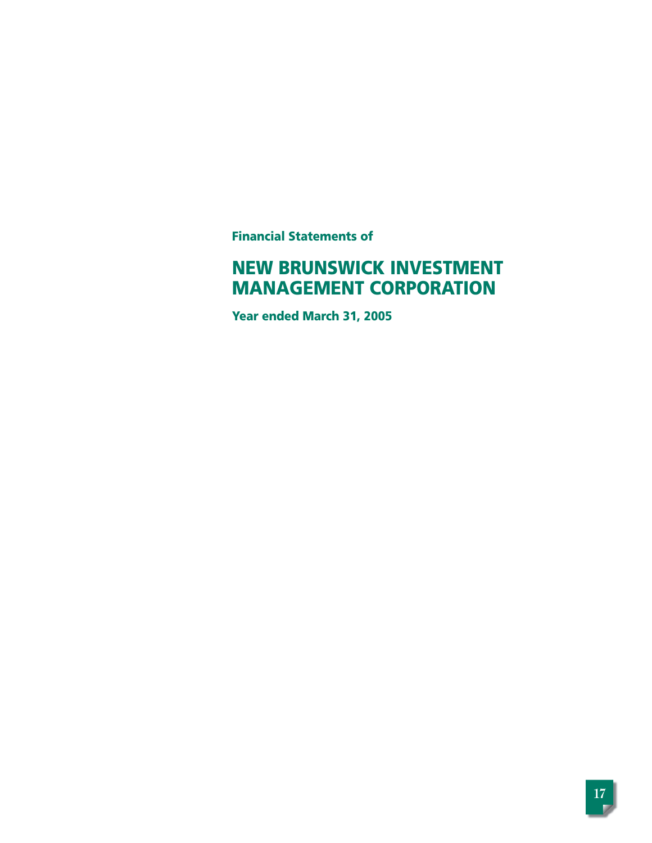**Financial Statements of**

# **NEW BRUNSWICK INVESTMENT MANAGEMENT CORPORATION**

**Year ended March 31, 2005**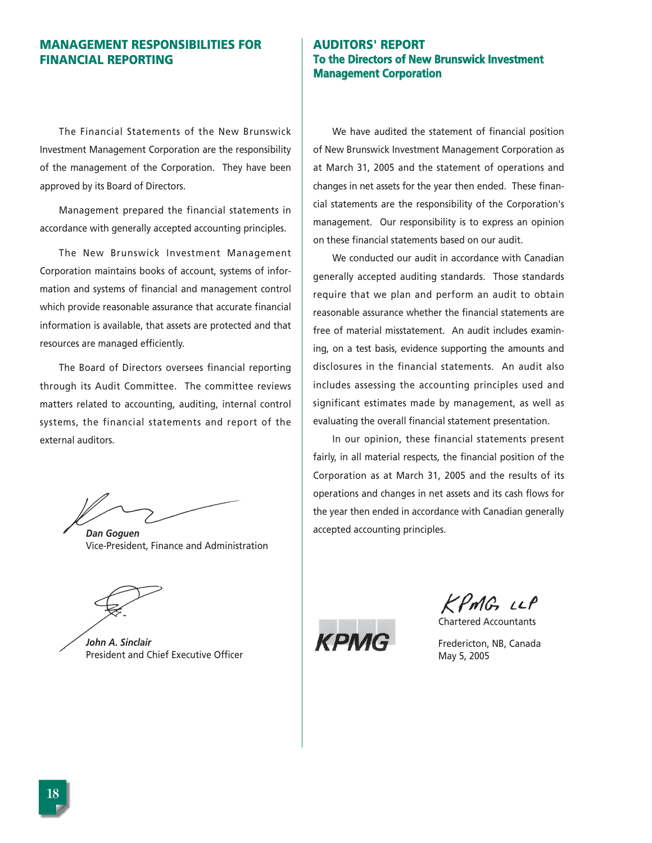# **MANAGEMENT RESPONSIBILITIES FOR FINANCIAL REPORTING**

The Financial Statements of the New Brunswick Investment Management Corporation are the responsibility of the management of the Corporation. They have been approved by its Board of Directors.

Management prepared the financial statements in accordance with generally accepted accounting principles.

The New Brunswick Investment Management Corporation maintains books of account, systems of information and systems of financial and management control which provide reasonable assurance that accurate financial information is available, that assets are protected and that resources are managed efficiently.

The Board of Directors oversees financial reporting through its Audit Committee. The committee reviews matters related to accounting, auditing, internal control systems, the financial statements and report of the external auditors.

*Dan Goguen* Vice-President, Finance and Administration

*John A. Sinclair* President and Chief Executive Officer

# **AUDITORS' REPORT To the Directors of New Brunswick Investment Management Corporation**

We have audited the statement of financial position of New Brunswick Investment Management Corporation as at March 31, 2005 and the statement of operations and changes in net assets for the year then ended. These financial statements are the responsibility of the Corporation's management. Our responsibility is to express an opinion on these financial statements based on our audit.

We conducted our audit in accordance with Canadian generally accepted auditing standards. Those standards require that we plan and perform an audit to obtain reasonable assurance whether the financial statements are free of material misstatement. An audit includes examining, on a test basis, evidence supporting the amounts and disclosures in the financial statements. An audit also includes assessing the accounting principles used and significant estimates made by management, as well as evaluating the overall financial statement presentation.

In our opinion, these financial statements present fairly, in all material respects, the financial position of the Corporation as at March 31, 2005 and the results of its operations and changes in net assets and its cash flows for the year then ended in accordance with Canadian generally accepted accounting principles.

 $KPmG\cup P$ 

Chartered Accountants



Fredericton, NB, Canada May 5, 2005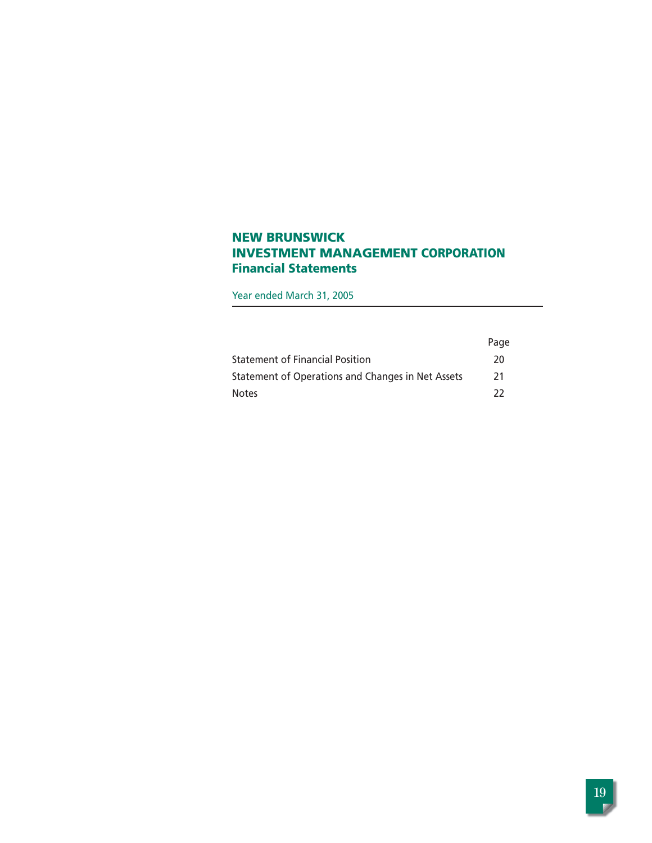# **NEW BRUNSWICK INVESTMENT MANAGEMENT CORPORATION Financial Statements**

Year ended March 31, 2005

|                                                   | Page |
|---------------------------------------------------|------|
| <b>Statement of Financial Position</b>            | 20   |
| Statement of Operations and Changes in Net Assets | 21   |
| <b>Notes</b>                                      | -22  |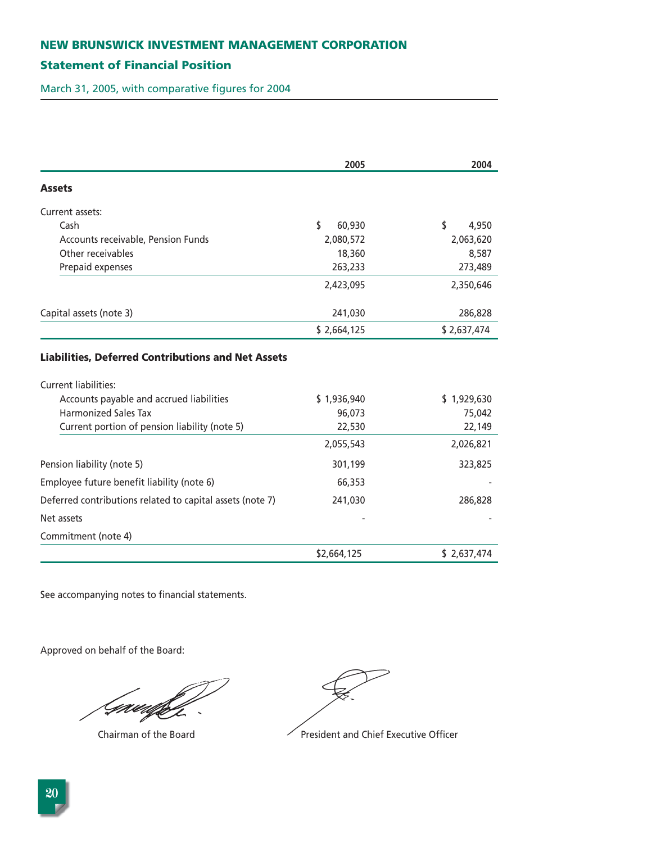# **Statement of Financial Position**

March 31, 2005, with comparative figures for 2004

|                                                                  | 2005         | 2004        |
|------------------------------------------------------------------|--------------|-------------|
| <b>Assets</b>                                                    |              |             |
| Current assets:                                                  |              |             |
| Cash                                                             | \$<br>60,930 | \$<br>4,950 |
| Accounts receivable, Pension Funds                               | 2,080,572    | 2,063,620   |
| Other receivables                                                | 18,360       | 8,587       |
| Prepaid expenses                                                 | 263,233      | 273,489     |
|                                                                  | 2,423,095    | 2,350,646   |
| Capital assets (note 3)                                          | 241,030      | 286,828     |
|                                                                  | \$2,664,125  | \$2,637,474 |
| Current liabilities:<br>Accounts payable and accrued liabilities | \$1,936,940  | \$1,929,630 |
|                                                                  |              |             |
| <b>Harmonized Sales Tax</b>                                      | 96,073       | 75,042      |
| Current portion of pension liability (note 5)                    | 22,530       | 22,149      |
|                                                                  | 2,055,543    | 2,026,821   |
| Pension liability (note 5)                                       | 301,199      | 323,825     |
| Employee future benefit liability (note 6)                       | 66,353       |             |
| Deferred contributions related to capital assets (note 7)        | 241,030      | 286,828     |
| Net assets                                                       |              |             |
| Commitment (note 4)                                              |              |             |
|                                                                  | \$2,664,125  | \$2,637,474 |

See accompanying notes to financial statements.

Approved on behalf of the Board:

Grædfif



Chairman of the Board **President and Chief Executive Officer**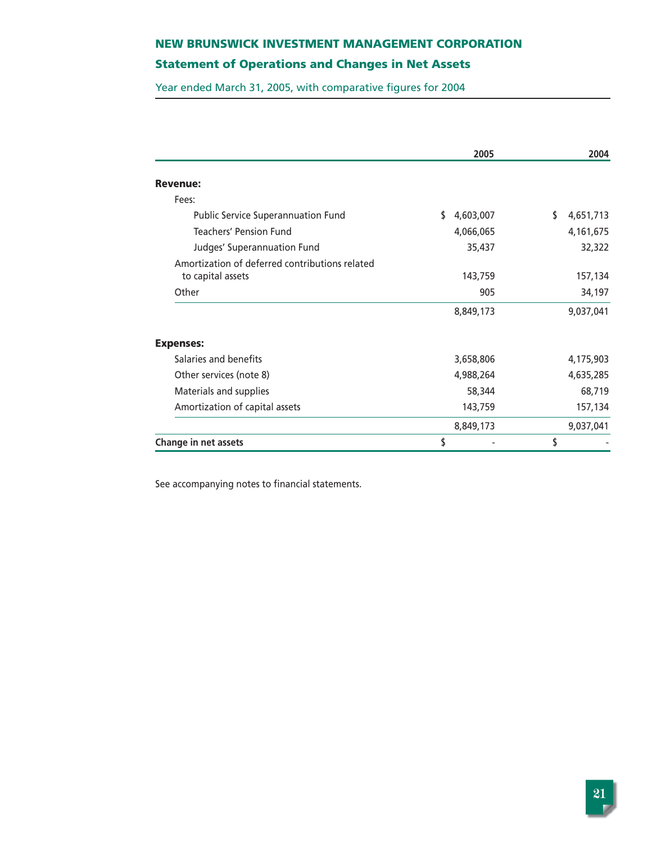# **Statement of Operations and Changes in Net Assets**

Year ended March 31, 2005, with comparative figures for 2004

|                                                | 2005            | 2004            |
|------------------------------------------------|-----------------|-----------------|
| <b>Revenue:</b>                                |                 |                 |
| Fees:                                          |                 |                 |
| <b>Public Service Superannuation Fund</b>      | \$<br>4,603,007 | \$<br>4,651,713 |
| <b>Teachers' Pension Fund</b>                  | 4,066,065       | 4,161,675       |
| Judges' Superannuation Fund                    | 35,437          | 32,322          |
| Amortization of deferred contributions related |                 |                 |
| to capital assets                              | 143,759         | 157,134         |
| Other                                          | 905             | 34,197          |
|                                                | 8,849,173       | 9,037,041       |
| <b>Expenses:</b>                               |                 |                 |
| Salaries and benefits                          | 3,658,806       | 4,175,903       |
| Other services (note 8)                        | 4,988,264       | 4,635,285       |
| Materials and supplies                         | 58,344          | 68,719          |
| Amortization of capital assets                 | 143,759         | 157,134         |
|                                                | 8,849,173       | 9,037,041       |
| <b>Change in net assets</b>                    | \$              | \$              |

See accompanying notes to financial statements.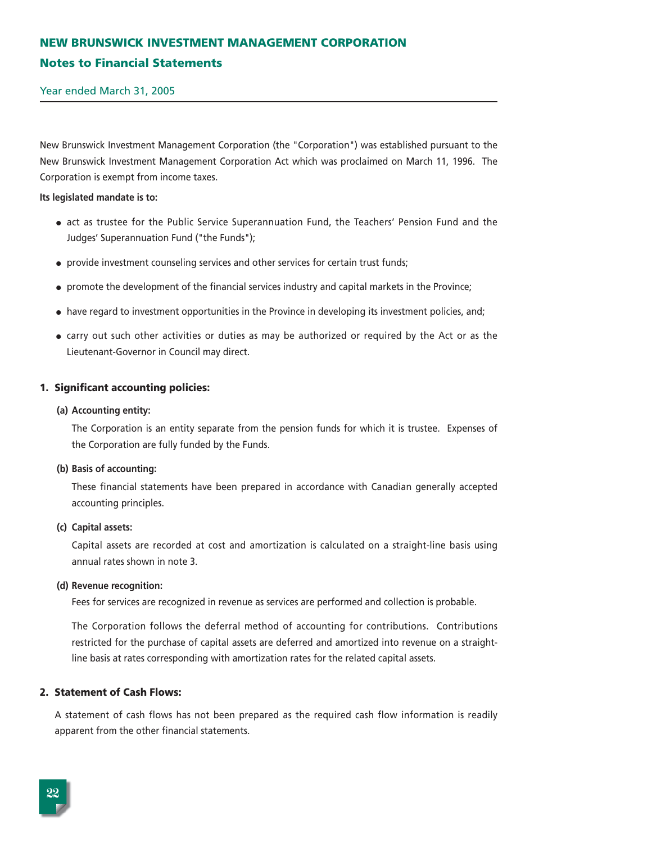# **NEW BRUNSWICK INVESTMENT MANAGEMENT CORPORATION Notes to Financial Statements**

Year ended March 31, 2005

New Brunswick Investment Management Corporation (the "Corporation") was established pursuant to the New Brunswick Investment Management Corporation Act which was proclaimed on March 11, 1996. The Corporation is exempt from income taxes.

### **Its legislated mandate is to:**

- act as trustee for the Public Service Superannuation Fund, the Teachers' Pension Fund and the Judges' Superannuation Fund ("the Funds");
- provide investment counseling services and other services for certain trust funds;
- promote the development of the financial services industry and capital markets in the Province;
- have regard to investment opportunities in the Province in developing its investment policies, and;
- carry out such other activities or duties as may be authorized or required by the Act or as the Lieutenant-Governor in Council may direct.

### **1. Significant accounting policies:**

#### **(a) Accounting entity:**

The Corporation is an entity separate from the pension funds for which it is trustee. Expenses of the Corporation are fully funded by the Funds.

### **(b) Basis of accounting:**

These financial statements have been prepared in accordance with Canadian generally accepted accounting principles.

### **(c) Capital assets:**

Capital assets are recorded at cost and amortization is calculated on a straight-line basis using annual rates shown in note 3.

### **(d) Revenue recognition:**

Fees for services are recognized in revenue as services are performed and collection is probable.

The Corporation follows the deferral method of accounting for contributions. Contributions restricted for the purchase of capital assets are deferred and amortized into revenue on a straightline basis at rates corresponding with amortization rates for the related capital assets.

### **2. Statement of Cash Flows:**

A statement of cash flows has not been prepared as the required cash flow information is readily apparent from the other financial statements.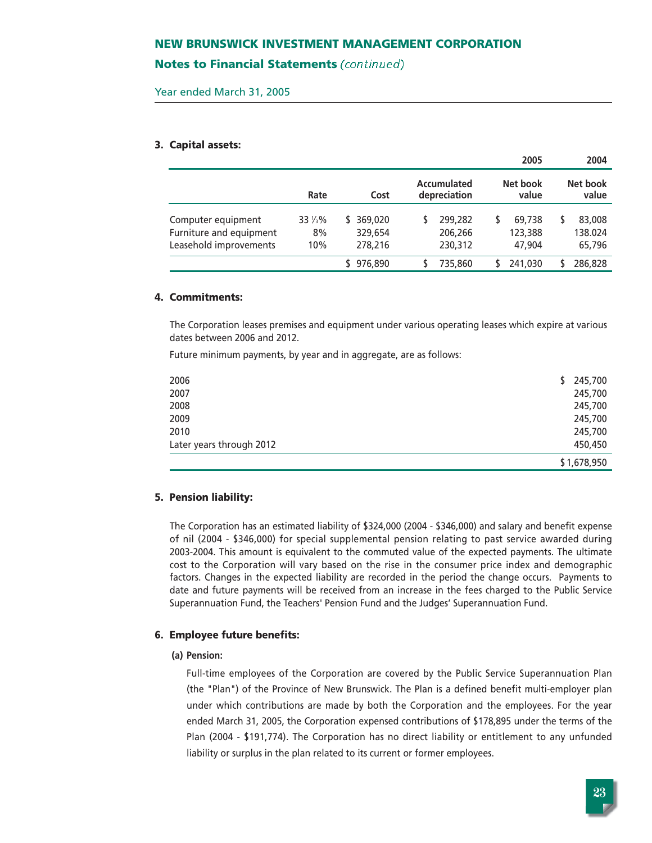### **Notes to Financial Statements** (continued)

Year ended March 31, 2005

#### **3. Capital assets:**

|                                                                         |                      |                                     |                               | 2005                        | 2004                             |
|-------------------------------------------------------------------------|----------------------|-------------------------------------|-------------------------------|-----------------------------|----------------------------------|
|                                                                         | Rate                 | Cost                                | Accumulated<br>depreciation   | Net book<br>value           | Net book<br>value                |
| Computer equipment<br>Furniture and equipment<br>Leasehold improvements | 33 1/3%<br>8%<br>10% | 369,020<br>S.<br>329,654<br>278,216 | 299,282<br>206,266<br>230,312 | 69,738<br>123,388<br>47.904 | 83,008<br>S<br>138.024<br>65,796 |
|                                                                         |                      | 976.890                             | 735,860                       | 241.030                     | 286,828                          |

#### **4. Commitments:**

The Corporation leases premises and equipment under various operating leases which expire at various dates between 2006 and 2012.

Future minimum payments, by year and in aggregate, are as follows:

| 2006                     | 245,700<br>\$ |
|--------------------------|---------------|
| 2007                     | 245,700       |
| 2008                     | 245,700       |
| 2009                     | 245,700       |
| 2010                     | 245,700       |
| Later years through 2012 | 450,450       |
|                          | \$1,678,950   |

### **5. Pension liability:**

The Corporation has an estimated liability of \$324,000 (2004 - \$346,000) and salary and benefit expense of nil (2004 - \$346,000) for special supplemental pension relating to past service awarded during 2003-2004. This amount is equivalent to the commuted value of the expected payments. The ultimate cost to the Corporation will vary based on the rise in the consumer price index and demographic factors. Changes in the expected liability are recorded in the period the change occurs. Payments to date and future payments will be received from an increase in the fees charged to the Public Service Superannuation Fund, the Teachers' Pension Fund and the Judges' Superannuation Fund.

#### **6. Employee future benefits:**

### **(a) Pension:**

Full-time employees of the Corporation are covered by the Public Service Superannuation Plan (the "Plan") of the Province of New Brunswick. The Plan is a defined benefit multi-employer plan under which contributions are made by both the Corporation and the employees. For the year ended March 31, 2005, the Corporation expensed contributions of \$178,895 under the terms of the Plan (2004 - \$191,774). The Corporation has no direct liability or entitlement to any unfunded liability or surplus in the plan related to its current or former employees.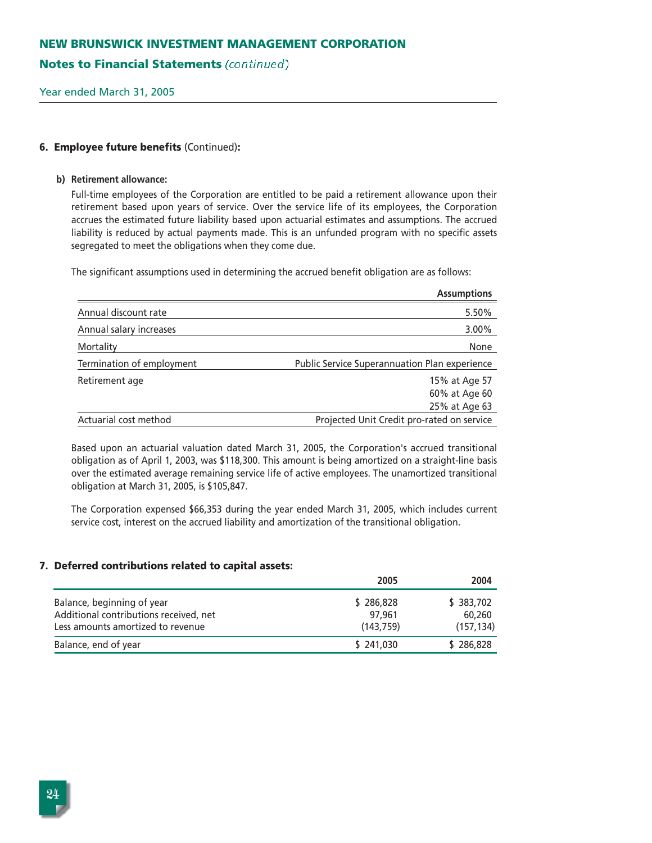# **Notes to Financial Statements** (continued)

Year ended March 31, 2005

### **6. Employee future benefits** (Continued)**:**

#### **b) Retirement allowance:**

Full-time employees of the Corporation are entitled to be paid a retirement allowance upon their retirement based upon years of service. Over the service life of its employees, the Corporation accrues the estimated future liability based upon actuarial estimates and assumptions. The accrued liability is reduced by actual payments made. This is an unfunded program with no specific assets segregated to meet the obligations when they come due.

The significant assumptions used in determining the accrued benefit obligation are as follows:

|                           | <b>Assumptions</b>                                   |
|---------------------------|------------------------------------------------------|
| Annual discount rate      | 5.50%                                                |
| Annual salary increases   | 3.00%                                                |
| Mortality                 | None                                                 |
| Termination of employment | <b>Public Service Superannuation Plan experience</b> |
| Retirement age            | 15% at Age 57                                        |
|                           | 60% at Age 60                                        |
|                           | 25% at Age 63                                        |
| Actuarial cost method     | Projected Unit Credit pro-rated on service           |

Based upon an actuarial valuation dated March 31, 2005, the Corporation's accrued transitional obligation as of April 1, 2003, was \$118,300. This amount is being amortized on a straight-line basis over the estimated average remaining service life of active employees. The unamortized transitional obligation at March 31, 2005, is \$105,847.

The Corporation expensed \$66,353 during the year ended March 31, 2005, which includes current service cost, interest on the accrued liability and amortization of the transitional obligation.

### **7. Deferred contributions related to capital assets:**

|                                                                                                           | 2005                             | 2004                              |
|-----------------------------------------------------------------------------------------------------------|----------------------------------|-----------------------------------|
| Balance, beginning of year<br>Additional contributions received, net<br>Less amounts amortized to revenue | \$286,828<br>97.961<br>(143.759) | \$383,702<br>60,260<br>(157, 134) |
| Balance, end of year                                                                                      | \$241,030                        | \$286,828                         |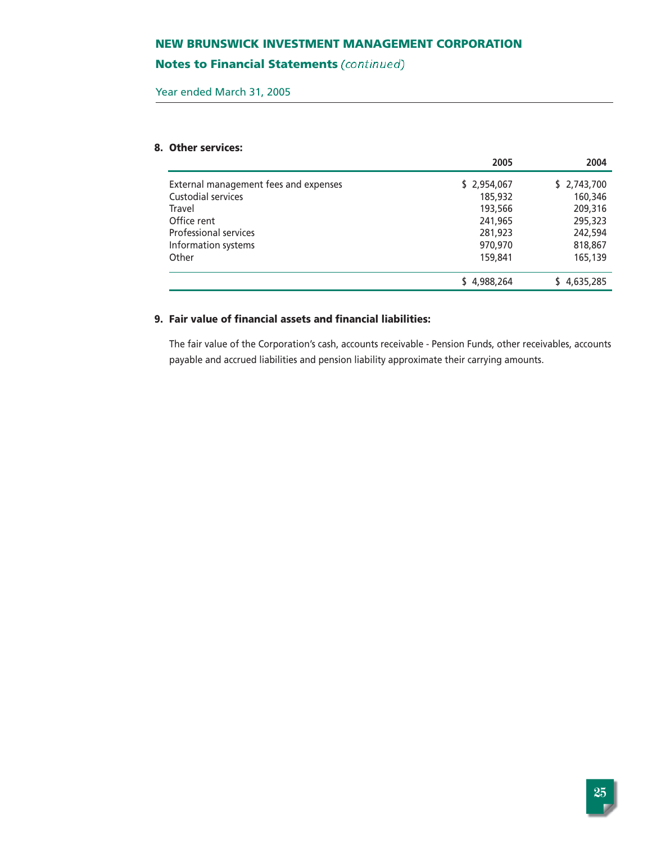# **Notes to Financial Statements (continued)**

Year ended March 31, 2005

# **8. Other services:**

|                                       | 2005        | 2004        |
|---------------------------------------|-------------|-------------|
| External management fees and expenses | \$2,954,067 | \$2,743,700 |
| Custodial services                    | 185,932     | 160,346     |
| Travel                                | 193,566     | 209,316     |
| Office rent                           | 241,965     | 295,323     |
| <b>Professional services</b>          | 281,923     | 242,594     |
| Information systems                   | 970,970     | 818,867     |
| Other                                 | 159,841     | 165,139     |
|                                       | \$4,988,264 | \$4,635,285 |

# **9. Fair value of financial assets and financial liabilities:**

The fair value of the Corporation's cash, accounts receivable - Pension Funds, other receivables, accounts payable and accrued liabilities and pension liability approximate their carrying amounts.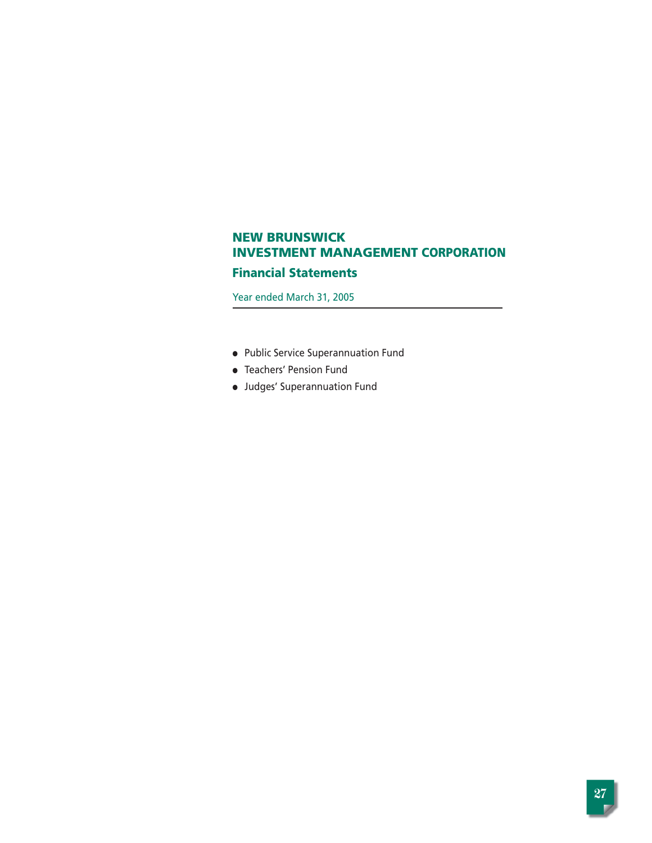# **Financial Statements**

Year ended March 31, 2005

- Public Service Superannuation Fund
- Teachers' Pension Fund
- Judges' Superannuation Fund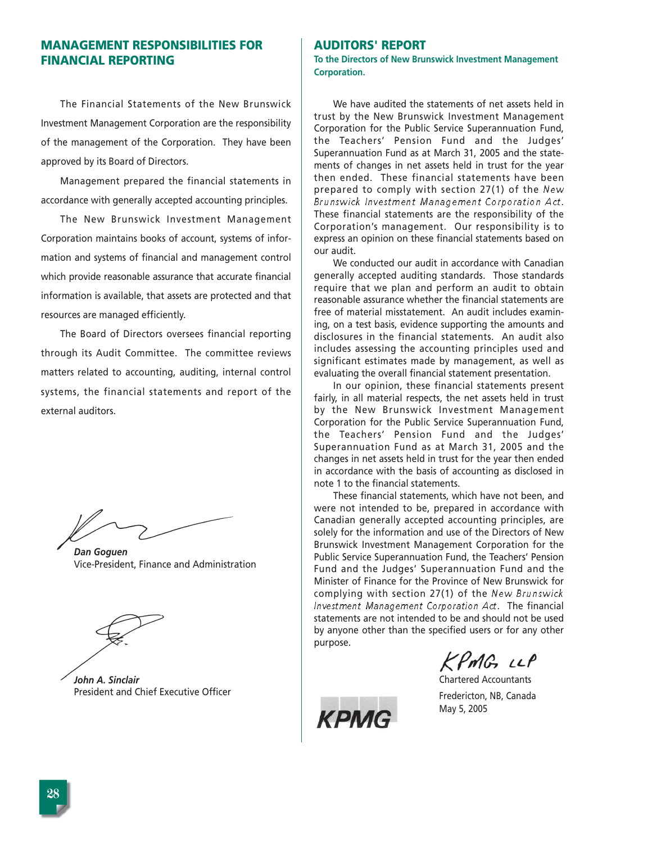# **MANAGEMENT RESPONSIBILITIES FOR FINANCIAL REPORTING**

The Financial Statements of the New Brunswick Investment Management Corporation are the responsibility of the management of the Corporation. They have been approved by its Board of Directors.

Management prepared the financial statements in accordance with generally accepted accounting principles.

The New Brunswick Investment Management Corporation maintains books of account, systems of information and systems of financial and management control which provide reasonable assurance that accurate financial information is available, that assets are protected and that resources are managed efficiently.

The Board of Directors oversees financial reporting through its Audit Committee. The committee reviews matters related to accounting, auditing, internal control systems, the financial statements and report of the external auditors.

*Dan Goguen* Vice-President, Finance and Administration

*John A. Sinclair* President and Chief Executive Officer

### **AUDITORS' REPORT**

**To the Directors of New Brunswick Investment Management Corporation.** 

We have audited the statements of net assets held in trust by the New Brunswick Investment Management Corporation for the Public Service Superannuation Fund, the Teachers' Pension Fund and the Judges' Superannuation Fund as at March 31, 2005 and the statements of changes in net assets held in trust for the year then ended. These financial statements have been prepared to comply with section 27(1) of the New Brunswick Investment Management Corporation Act. These financial statements are the responsibility of the Corporation's management. Our responsibility is to express an opinion on these financial statements based on our audit.

We conducted our audit in accordance with Canadian generally accepted auditing standards. Those standards require that we plan and perform an audit to obtain reasonable assurance whether the financial statements are free of material misstatement. An audit includes examining, on a test basis, evidence supporting the amounts and disclosures in the financial statements. An audit also includes assessing the accounting principles used and significant estimates made by management, as well as evaluating the overall financial statement presentation.

In our opinion, these financial statements present fairly, in all material respects, the net assets held in trust by the New Brunswick Investment Management Corporation for the Public Service Superannuation Fund, the Teachers' Pension Fund and the Judges' Superannuation Fund as at March 31, 2005 and the changes in net assets held in trust for the year then ended in accordance with the basis of accounting as disclosed in note 1 to the financial statements.

These financial statements, which have not been, and were not intended to be, prepared in accordance with Canadian generally accepted accounting principles, are solely for the information and use of the Directors of New Brunswick Investment Management Corporation for the Public Service Superannuation Fund, the Teachers' Pension Fund and the Judges' Superannuation Fund and the Minister of Finance for the Province of New Brunswick for complying with section 27(1) of the New Brunswick Investment Management Corporation Act. The financial statements are not intended to be and should not be used by anyone other than the specified users or for any other purpose.

KPMG LLP

Chartered Accountants Fredericton, NB, Canada May 5, 2005

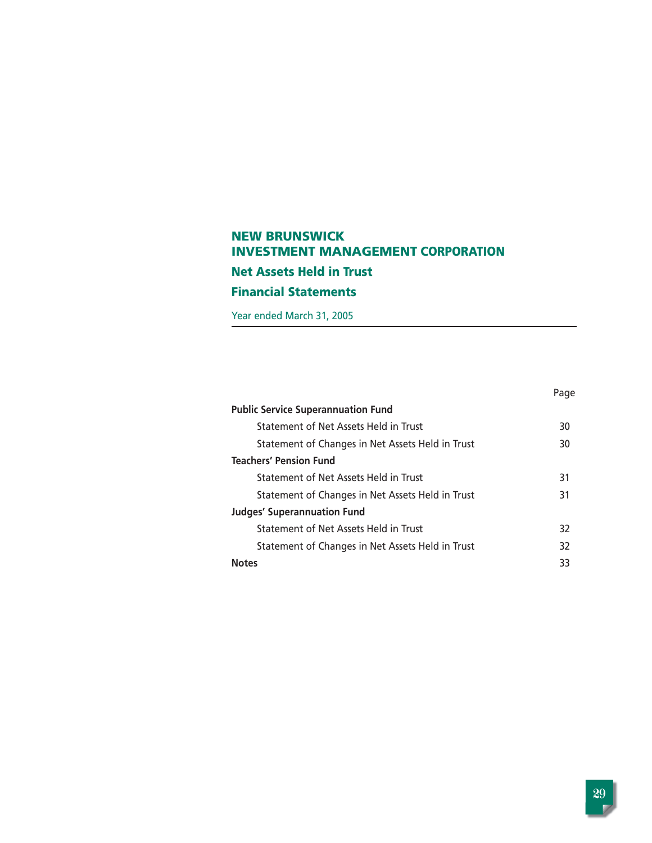# **NEW BRUNSWICK INVESTMENT MANAGEMENT CORPORATION Net Assets Held in Trust Financial Statements**

Year ended March 31, 2005

|                                                  | Page |
|--------------------------------------------------|------|
| <b>Public Service Superannuation Fund</b>        |      |
| Statement of Net Assets Held in Trust            | 30   |
| Statement of Changes in Net Assets Held in Trust | 30   |
| <b>Teachers' Pension Fund</b>                    |      |
| Statement of Net Assets Held in Trust            | 31   |
| Statement of Changes in Net Assets Held in Trust | 31   |
| <b>Judges' Superannuation Fund</b>               |      |
| Statement of Net Assets Held in Trust            | 32   |
| Statement of Changes in Net Assets Held in Trust | 32   |
| <b>Notes</b>                                     | 33   |
|                                                  |      |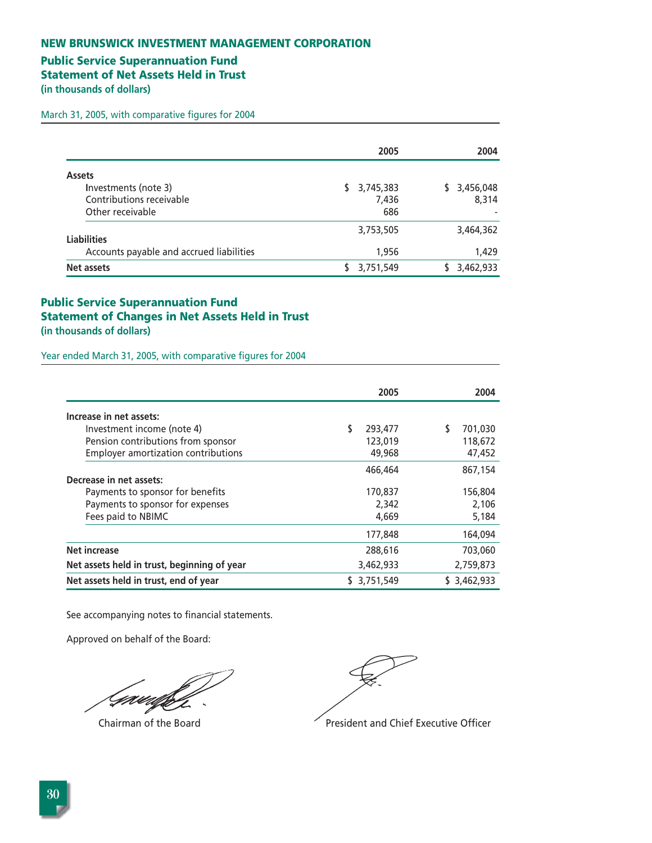# **Public Service Superannuation Fund**

**Statement of Net Assets Held in Trust** 

**(in thousands of dollars)** 

March 31, 2005, with comparative figures for 2004

|                                                                                       |    | 2005                      | 2004                     |
|---------------------------------------------------------------------------------------|----|---------------------------|--------------------------|
| <b>Assets</b><br>Investments (note 3)<br>Contributions receivable<br>Other receivable | S. | 3,745,383<br>7,436<br>686 | 3,456,048<br>S.<br>8,314 |
| <b>Liabilities</b><br>Accounts payable and accrued liabilities                        |    | 3,753,505<br>1,956        | 3,464,362<br>1,429       |
| Net assets                                                                            |    | 3,751,549                 | 3,462,933                |

# **Public Service Superannuation Fund Statement of Changes in Net Assets Held in Trust (in thousands of dollars)**

Year ended March 31, 2005, with comparative figures for 2004

|                                             | 2005            | 2004          |
|---------------------------------------------|-----------------|---------------|
| Increase in net assets:                     |                 |               |
| Investment income (note 4)                  | \$<br>293,477   | \$<br>701,030 |
| Pension contributions from sponsor          | 123,019         | 118,672       |
| <b>Employer amortization contributions</b>  | 49,968          | 47,452        |
|                                             | 466,464         | 867,154       |
| Decrease in net assets:                     |                 |               |
| Payments to sponsor for benefits            | 170,837         | 156,804       |
| Payments to sponsor for expenses            | 2,342           | 2,106         |
| Fees paid to NBIMC                          | 4,669           | 5,184         |
|                                             | 177,848         | 164,094       |
| <b>Net increase</b>                         | 288,616         | 703,060       |
| Net assets held in trust, beginning of year | 3,462,933       | 2,759,873     |
| Net assets held in trust, end of year       | 3,751,549<br>S. | \$3,462,933   |

See accompanying notes to financial statements.

Approved on behalf of the Board:

Gaw,

Chairman of the Board **President and Chief Executive Officer**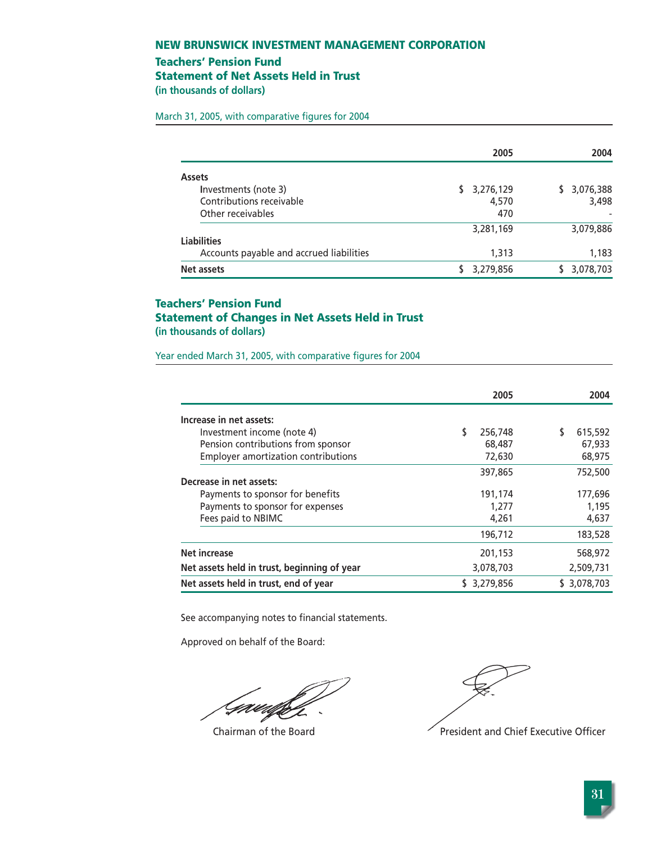## **Teachers' Pension Fund**

**Statement of Net Assets Held in Trust** 

**(in thousands of dollars)** 

March 31, 2005, with comparative figures for 2004

|                                          | 2005            | 2004         |
|------------------------------------------|-----------------|--------------|
| <b>Assets</b>                            |                 |              |
| Investments (note 3)                     | 3,276,129<br>S. | \$ 3,076,388 |
| Contributions receivable                 | 4,570           | 3,498        |
| Other receivables                        | 470             |              |
|                                          | 3,281,169       | 3,079,886    |
| <b>Liabilities</b>                       |                 |              |
| Accounts payable and accrued liabilities | 1,313           | 1,183        |
| Net assets                               | 3,279,856       | 3,078,703    |

# **Teachers' Pension Fund Statement of Changes in Net Assets Held in Trust (in thousands of dollars)**

Year ended March 31, 2005, with comparative figures for 2004

|                                             | 2005      | 2004        |
|---------------------------------------------|-----------|-------------|
| Increase in net assets:                     |           |             |
| Investment income (note 4)                  | 256,748   | 615,592     |
| Pension contributions from sponsor          | 68,487    | 67,933      |
| <b>Employer amortization contributions</b>  | 72,630    | 68,975      |
|                                             | 397,865   | 752,500     |
| Decrease in net assets:                     |           |             |
| Payments to sponsor for benefits            | 191,174   | 177,696     |
| Payments to sponsor for expenses            | 1,277     | 1,195       |
| Fees paid to NBIMC                          | 4,261     | 4,637       |
|                                             | 196,712   | 183,528     |
| <b>Net increase</b>                         | 201,153   | 568,972     |
| Net assets held in trust, beginning of year | 3,078,703 | 2,509,731   |
| Net assets held in trust, end of year       | 3,279,856 | \$3,078,703 |

See accompanying notes to financial statements.

Approved on behalf of the Board:

Gaudhf

Chairman of the Board  $\blacksquare$ President and Chief Executive Officer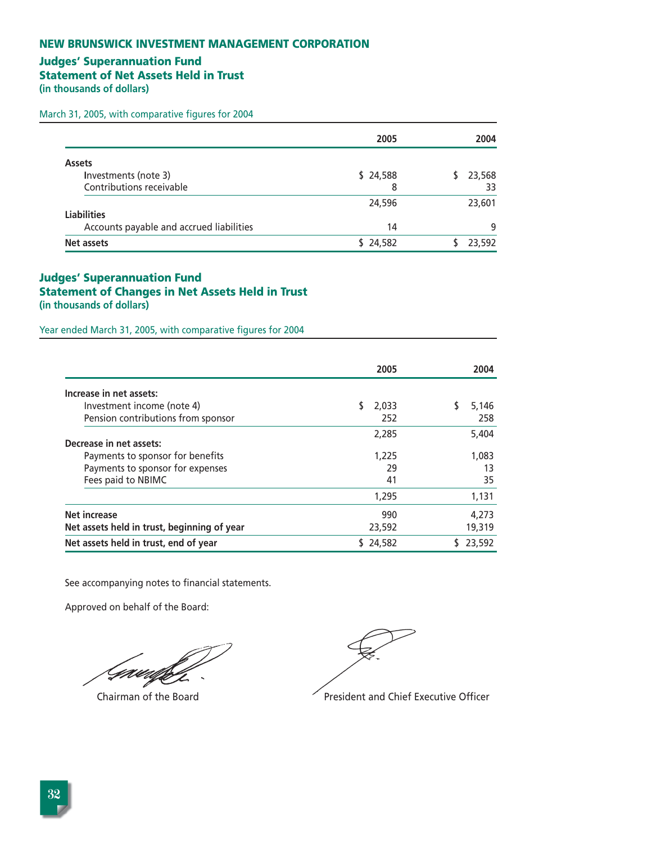# **Judges' Superannuation Fund**

**Statement of Net Assets Held in Trust** 

**(in thousands of dollars)** 

March 31, 2005, with comparative figures for 2004

|                                          | 2005     | 2004   |
|------------------------------------------|----------|--------|
| <b>Assets</b>                            |          |        |
| Investments (note 3)                     | \$24,588 | 23,568 |
| Contributions receivable                 | 8        | 33     |
|                                          | 24,596   | 23,601 |
| <b>Liabilities</b>                       |          |        |
| Accounts payable and accrued liabilities | 14       | 9      |
| Net assets                               | \$24,582 | 23,592 |

# **Judges' Superannuation Fund Statement of Changes in Net Assets Held in Trust (in thousands of dollars)**

Year ended March 31, 2005, with comparative figures for 2004

|                                             | 2005   | 2004       |
|---------------------------------------------|--------|------------|
| Increase in net assets:                     |        |            |
| Investment income (note 4)                  | 2,033  | S<br>5,146 |
| Pension contributions from sponsor          | 252    | 258        |
|                                             | 2,285  | 5,404      |
| Decrease in net assets:                     |        |            |
| Payments to sponsor for benefits            | 1,225  | 1,083      |
| Payments to sponsor for expenses            | 29     | 13         |
| Fees paid to NBIMC                          | 41     | 35         |
|                                             | 1,295  | 1,131      |
| <b>Net increase</b>                         | 990    | 4,273      |
| Net assets held in trust, beginning of year | 23,592 | 19,319     |
| Net assets held in trust, end of year       | 24,582 | 23,592     |

See accompanying notes to financial statements.

Approved on behalf of the Board:

Gawi

Chairman of the Board **President and Chief Executive Officer**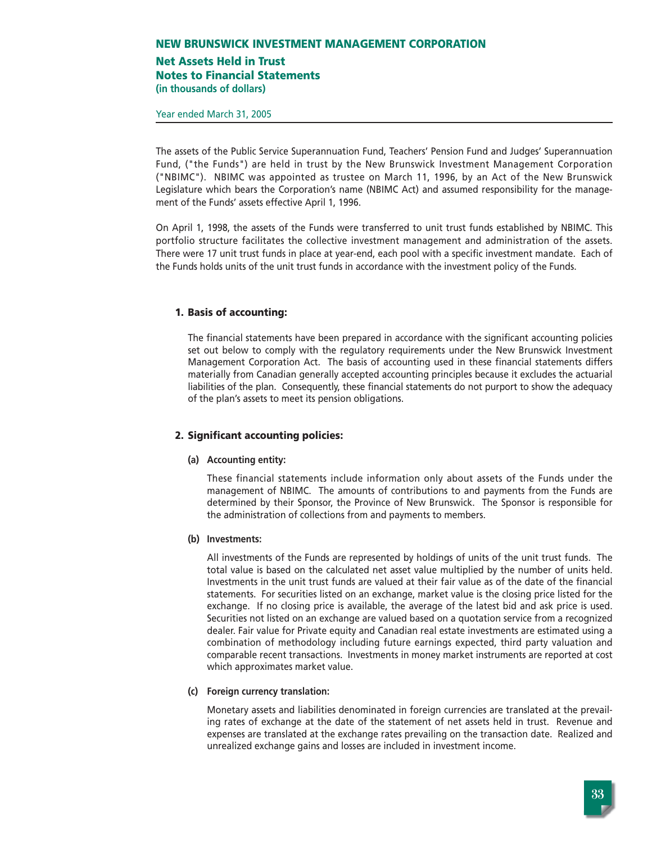## **Net Assets Held in Trust Notes to Financial Statements (in thousands of dollars)**

Year ended March 31, 2005

The assets of the Public Service Superannuation Fund, Teachers' Pension Fund and Judges' Superannuation Fund, ("the Funds") are held in trust by the New Brunswick Investment Management Corporation ("NBIMC"). NBIMC was appointed as trustee on March 11, 1996, by an Act of the New Brunswick Legislature which bears the Corporation's name (NBIMC Act) and assumed responsibility for the management of the Funds' assets effective April 1, 1996.

On April 1, 1998, the assets of the Funds were transferred to unit trust funds established by NBIMC. This portfolio structure facilitates the collective investment management and administration of the assets. There were 17 unit trust funds in place at year-end, each pool with a specific investment mandate. Each of the Funds holds units of the unit trust funds in accordance with the investment policy of the Funds.

### **1. Basis of accounting:**

The financial statements have been prepared in accordance with the significant accounting policies set out below to comply with the regulatory requirements under the New Brunswick Investment Management Corporation Act. The basis of accounting used in these financial statements differs materially from Canadian generally accepted accounting principles because it excludes the actuarial liabilities of the plan. Consequently, these financial statements do not purport to show the adequacy of the plan's assets to meet its pension obligations.

### **2. Significant accounting policies:**

### **(a) Accounting entity:**

These financial statements include information only about assets of the Funds under the management of NBIMC. The amounts of contributions to and payments from the Funds are determined by their Sponsor, the Province of New Brunswick. The Sponsor is responsible for the administration of collections from and payments to members.

### **(b) Investments:**

All investments of the Funds are represented by holdings of units of the unit trust funds. The total value is based on the calculated net asset value multiplied by the number of units held. Investments in the unit trust funds are valued at their fair value as of the date of the financial statements. For securities listed on an exchange, market value is the closing price listed for the exchange. If no closing price is available, the average of the latest bid and ask price is used. Securities not listed on an exchange are valued based on a quotation service from a recognized dealer. Fair value for Private equity and Canadian real estate investments are estimated using a combination of methodology including future earnings expected, third party valuation and comparable recent transactions. Investments in money market instruments are reported at cost which approximates market value.

### **(c) Foreign currency translation:**

Monetary assets and liabilities denominated in foreign currencies are translated at the prevailing rates of exchange at the date of the statement of net assets held in trust. Revenue and expenses are translated at the exchange rates prevailing on the transaction date. Realized and unrealized exchange gains and losses are included in investment income.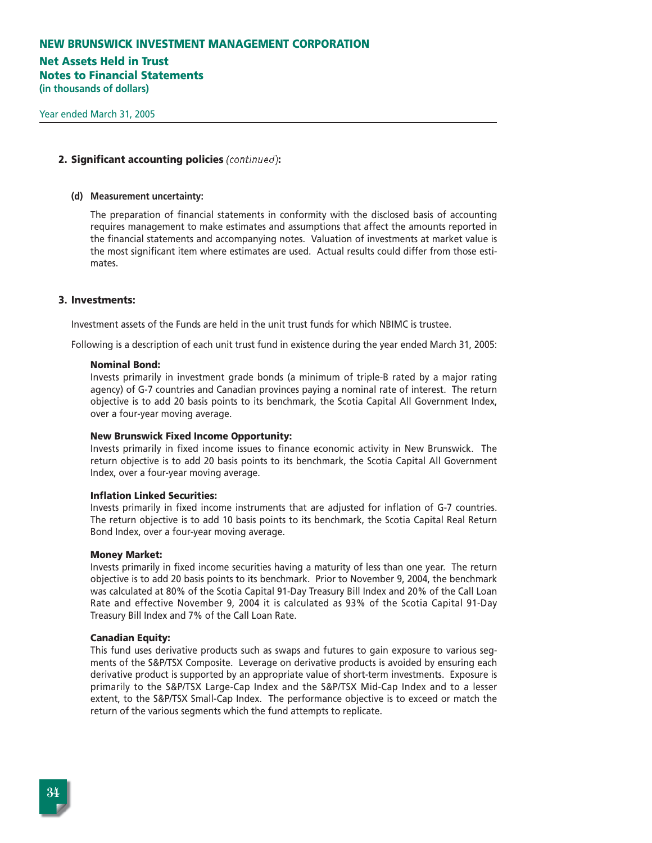# **Net Assets Held in Trust Notes to Financial Statements**

**(in thousands of dollars)**

### **2. Significant accounting policies** (continued)**:**

#### **(d) Measurement uncertainty:**

The preparation of financial statements in conformity with the disclosed basis of accounting requires management to make estimates and assumptions that affect the amounts reported in the financial statements and accompanying notes. Valuation of investments at market value is the most significant item where estimates are used. Actual results could differ from those estimates.

### **3. Investments:**

Investment assets of the Funds are held in the unit trust funds for which NBIMC is trustee.

Following is a description of each unit trust fund in existence during the year ended March 31, 2005:

#### **Nominal Bond:**

Invests primarily in investment grade bonds (a minimum of triple-B rated by a major rating agency) of G-7 countries and Canadian provinces paying a nominal rate of interest. The return objective is to add 20 basis points to its benchmark, the Scotia Capital All Government Index, over a four-year moving average.

#### **New Brunswick Fixed Income Opportunity:**

Invests primarily in fixed income issues to finance economic activity in New Brunswick. The return objective is to add 20 basis points to its benchmark, the Scotia Capital All Government Index, over a four-year moving average.

#### **Inflation Linked Securities:**

Invests primarily in fixed income instruments that are adjusted for inflation of G-7 countries. The return objective is to add 10 basis points to its benchmark, the Scotia Capital Real Return Bond Index, over a four-year moving average.

#### **Money Market:**

Invests primarily in fixed income securities having a maturity of less than one year. The return objective is to add 20 basis points to its benchmark. Prior to November 9, 2004, the benchmark was calculated at 80% of the Scotia Capital 91-Day Treasury Bill Index and 20% of the Call Loan Rate and effective November 9, 2004 it is calculated as 93% of the Scotia Capital 91-Day Treasury Bill Index and 7% of the Call Loan Rate.

#### **Canadian Equity:**

This fund uses derivative products such as swaps and futures to gain exposure to various segments of the S&P/TSX Composite. Leverage on derivative products is avoided by ensuring each derivative product is supported by an appropriate value of short-term investments. Exposure is primarily to the S&P/TSX Large-Cap Index and the S&P/TSX Mid-Cap Index and to a lesser extent, to the S&P/TSX Small-Cap Index. The performance objective is to exceed or match the return of the various segments which the fund attempts to replicate.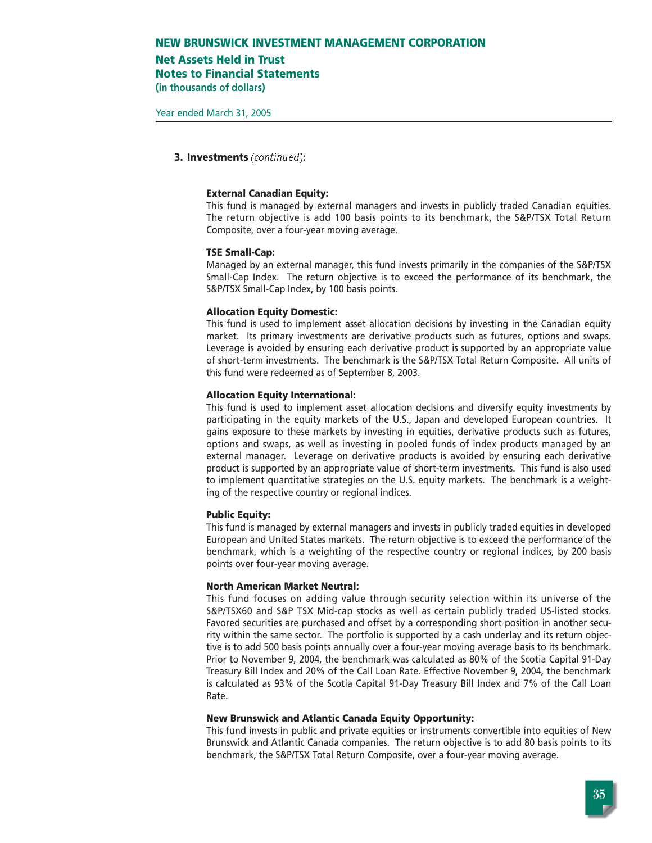# **Net Assets Held in Trust**

**Notes to Financial Statements**

**(in thousands of dollars)**

Year ended March 31, 2005

### **3. Investments** (continued)**:**

#### **External Canadian Equity:**

This fund is managed by external managers and invests in publicly traded Canadian equities. The return objective is add 100 basis points to its benchmark, the S&P/TSX Total Return Composite, over a four-year moving average.

#### **TSE Small-Cap:**

Managed by an external manager, this fund invests primarily in the companies of the S&P/TSX Small-Cap Index. The return objective is to exceed the performance of its benchmark, the S&P/TSX Small-Cap Index, by 100 basis points.

#### **Allocation Equity Domestic:**

This fund is used to implement asset allocation decisions by investing in the Canadian equity market. Its primary investments are derivative products such as futures, options and swaps. Leverage is avoided by ensuring each derivative product is supported by an appropriate value of short-term investments. The benchmark is the S&P/TSX Total Return Composite. All units of this fund were redeemed as of September 8, 2003.

#### **Allocation Equity International:**

This fund is used to implement asset allocation decisions and diversify equity investments by participating in the equity markets of the U.S., Japan and developed European countries. It gains exposure to these markets by investing in equities, derivative products such as futures, options and swaps, as well as investing in pooled funds of index products managed by an external manager. Leverage on derivative products is avoided by ensuring each derivative product is supported by an appropriate value of short-term investments. This fund is also used to implement quantitative strategies on the U.S. equity markets. The benchmark is a weighting of the respective country or regional indices.

#### **Public Equity:**

This fund is managed by external managers and invests in publicly traded equities in developed European and United States markets. The return objective is to exceed the performance of the benchmark, which is a weighting of the respective country or regional indices, by 200 basis points over four-year moving average.

#### **North American Market Neutral:**

This fund focuses on adding value through security selection within its universe of the S&P/TSX60 and S&P TSX Mid-cap stocks as well as certain publicly traded US-listed stocks. Favored securities are purchased and offset by a corresponding short position in another security within the same sector. The portfolio is supported by a cash underlay and its return objective is to add 500 basis points annually over a four-year moving average basis to its benchmark. Prior to November 9, 2004, the benchmark was calculated as 80% of the Scotia Capital 91-Day Treasury Bill Index and 20% of the Call Loan Rate. Effective November 9, 2004, the benchmark is calculated as 93% of the Scotia Capital 91-Day Treasury Bill Index and 7% of the Call Loan Rate.

#### **New Brunswick and Atlantic Canada Equity Opportunity:**

This fund invests in public and private equities or instruments convertible into equities of New Brunswick and Atlantic Canada companies. The return objective is to add 80 basis points to its benchmark, the S&P/TSX Total Return Composite, over a four-year moving average.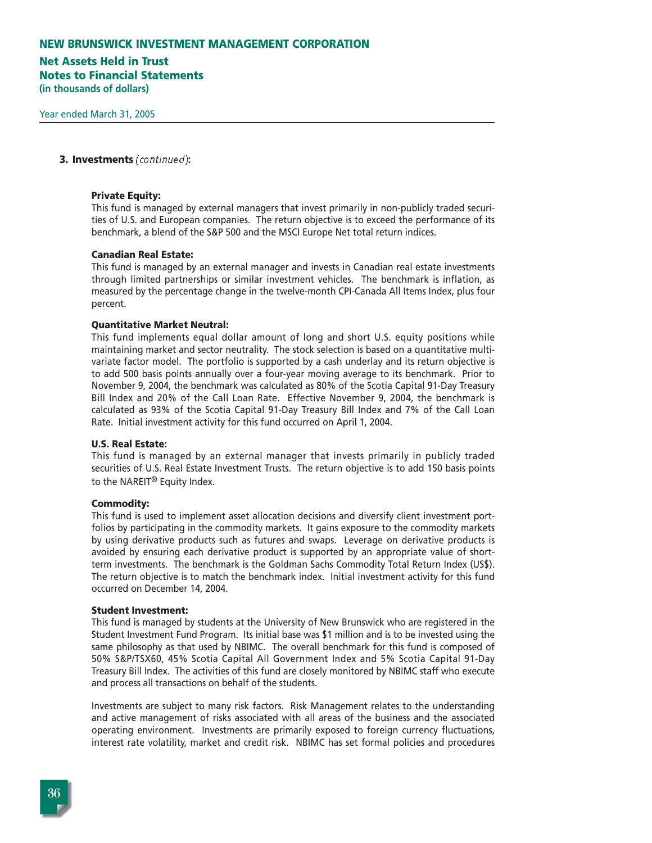# **Net Assets Held in Trust Notes to Financial Statements**

**(in thousands of dollars)**

#### **3. Investments** (continued)**:**

#### **Private Equity:**

This fund is managed by external managers that invest primarily in non-publicly traded securities of U.S. and European companies. The return objective is to exceed the performance of its benchmark, a blend of the S&P 500 and the MSCI Europe Net total return indices.

#### **Canadian Real Estate:**

This fund is managed by an external manager and invests in Canadian real estate investments through limited partnerships or similar investment vehicles. The benchmark is inflation, as measured by the percentage change in the twelve-month CPI-Canada All Items Index, plus four percent.

#### **Quantitative Market Neutral:**

This fund implements equal dollar amount of long and short U.S. equity positions while maintaining market and sector neutrality. The stock selection is based on a quantitative multivariate factor model. The portfolio is supported by a cash underlay and its return objective is to add 500 basis points annually over a four-year moving average to its benchmark. Prior to November 9, 2004, the benchmark was calculated as 80% of the Scotia Capital 91-Day Treasury Bill Index and 20% of the Call Loan Rate. Effective November 9, 2004, the benchmark is calculated as 93% of the Scotia Capital 91-Day Treasury Bill Index and 7% of the Call Loan Rate. Initial investment activity for this fund occurred on April 1, 2004.

#### **U.S. Real Estate:**

This fund is managed by an external manager that invests primarily in publicly traded securities of U.S. Real Estate Investment Trusts. The return objective is to add 150 basis points to the NAREIT® Equity Index.

#### **Commodity:**

This fund is used to implement asset allocation decisions and diversify client investment portfolios by participating in the commodity markets. It gains exposure to the commodity markets by using derivative products such as futures and swaps. Leverage on derivative products is avoided by ensuring each derivative product is supported by an appropriate value of shortterm investments. The benchmark is the Goldman Sachs Commodity Total Return Index (US\$). The return objective is to match the benchmark index. Initial investment activity for this fund occurred on December 14, 2004.

#### **Student Investment:**

This fund is managed by students at the University of New Brunswick who are registered in the Student Investment Fund Program. Its initial base was \$1 million and is to be invested using the same philosophy as that used by NBIMC. The overall benchmark for this fund is composed of 50% S&P/TSX60, 45% Scotia Capital All Government Index and 5% Scotia Capital 91-Day Treasury Bill Index. The activities of this fund are closely monitored by NBIMC staff who execute and process all transactions on behalf of the students.

Investments are subject to many risk factors. Risk Management relates to the understanding and active management of risks associated with all areas of the business and the associated operating environment. Investments are primarily exposed to foreign currency fluctuations, interest rate volatility, market and credit risk. NBIMC has set formal policies and procedures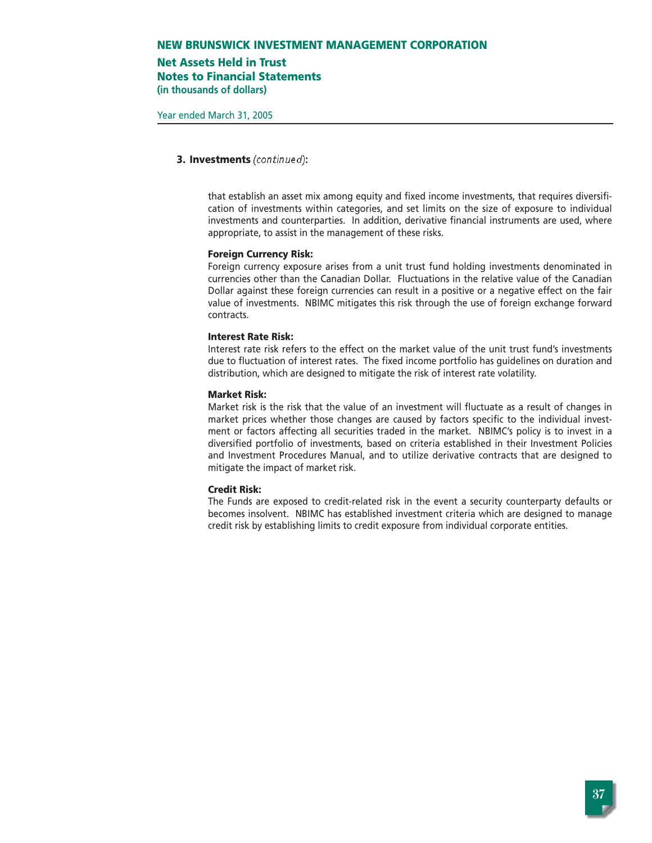# **Net Assets Held in Trust**

**Notes to Financial Statements (in thousands of dollars)**

#### **3. Investments** (continued)**:**

that establish an asset mix among equity and fixed income investments, that requires diversification of investments within categories, and set limits on the size of exposure to individual investments and counterparties. In addition, derivative financial instruments are used, where appropriate, to assist in the management of these risks.

#### **Foreign Currency Risk:**

Foreign currency exposure arises from a unit trust fund holding investments denominated in currencies other than the Canadian Dollar. Fluctuations in the relative value of the Canadian Dollar against these foreign currencies can result in a positive or a negative effect on the fair value of investments. NBIMC mitigates this risk through the use of foreign exchange forward contracts.

#### **Interest Rate Risk:**

Interest rate risk refers to the effect on the market value of the unit trust fund's investments due to fluctuation of interest rates. The fixed income portfolio has guidelines on duration and distribution, which are designed to mitigate the risk of interest rate volatility.

#### **Market Risk:**

Market risk is the risk that the value of an investment will fluctuate as a result of changes in market prices whether those changes are caused by factors specific to the individual investment or factors affecting all securities traded in the market. NBIMC's policy is to invest in a diversified portfolio of investments, based on criteria established in their Investment Policies and Investment Procedures Manual, and to utilize derivative contracts that are designed to mitigate the impact of market risk.

#### **Credit Risk:**

The Funds are exposed to credit-related risk in the event a security counterparty defaults or becomes insolvent. NBIMC has established investment criteria which are designed to manage credit risk by establishing limits to credit exposure from individual corporate entities.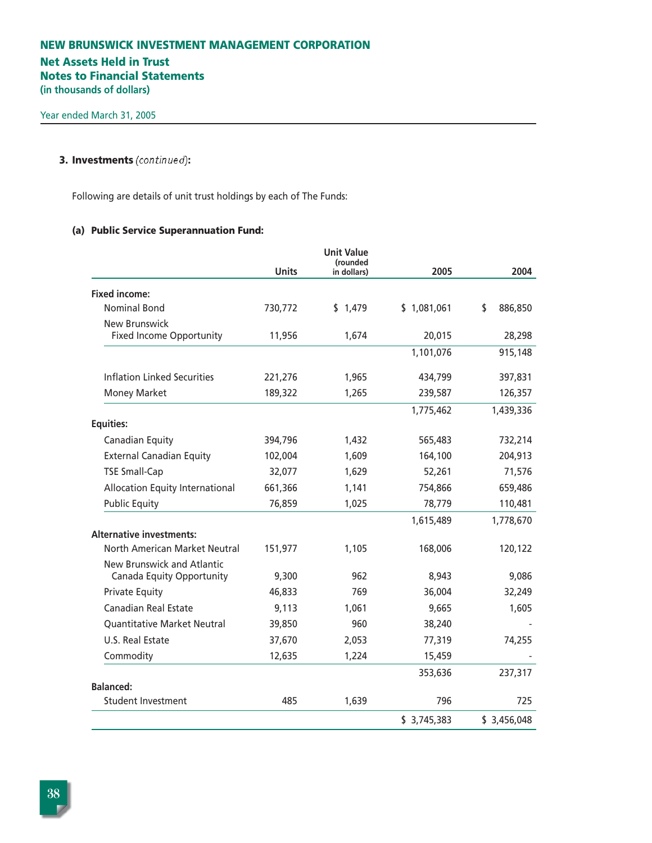# **Net Assets Held in Trust Notes to Financial Statements (in thousands of dollars)**

# **3. Investments** (continued)**:**

Following are details of unit trust holdings by each of The Funds:

# **(a) Public Service Superannuation Fund:**

|                                                         |              | <b>Unit Value</b><br>(rounded |             |               |
|---------------------------------------------------------|--------------|-------------------------------|-------------|---------------|
|                                                         | <b>Units</b> | in dollars)                   | 2005        | 2004          |
| <b>Fixed income:</b>                                    |              |                               |             |               |
| <b>Nominal Bond</b>                                     | 730,772      | \$1,479                       | \$1,081,061 | \$<br>886,850 |
| <b>New Brunswick</b>                                    |              |                               |             |               |
| <b>Fixed Income Opportunity</b>                         | 11,956       | 1,674                         | 20,015      | 28,298        |
|                                                         |              |                               | 1,101,076   | 915,148       |
| <b>Inflation Linked Securities</b>                      | 221,276      | 1,965                         | 434,799     | 397,831       |
| <b>Money Market</b>                                     | 189,322      | 1,265                         | 239,587     | 126,357       |
|                                                         |              |                               | 1,775,462   | 1,439,336     |
| <b>Equities:</b>                                        |              |                               |             |               |
| Canadian Equity                                         | 394,796      | 1,432                         | 565,483     | 732,214       |
| <b>External Canadian Equity</b>                         | 102,004      | 1,609                         | 164,100     | 204,913       |
| <b>TSE Small-Cap</b>                                    | 32,077       | 1,629                         | 52,261      | 71,576        |
| Allocation Equity International                         | 661,366      | 1,141                         | 754,866     | 659,486       |
| <b>Public Equity</b>                                    | 76,859       | 1,025                         | 78,779      | 110,481       |
|                                                         |              |                               | 1,615,489   | 1,778,670     |
| <b>Alternative investments:</b>                         |              |                               |             |               |
| North American Market Neutral                           | 151,977      | 1,105                         | 168,006     | 120,122       |
| New Brunswick and Atlantic<br>Canada Equity Opportunity | 9,300        | 962                           | 8,943       | 9,086         |
| <b>Private Equity</b>                                   | 46,833       | 769                           | 36,004      | 32,249        |
| <b>Canadian Real Estate</b>                             | 9,113        | 1,061                         | 9,665       | 1,605         |
| <b>Quantitative Market Neutral</b>                      | 39,850       | 960                           | 38,240      |               |
| U.S. Real Estate                                        | 37,670       | 2,053                         | 77,319      | 74,255        |
| Commodity                                               | 12,635       | 1,224                         | 15,459      |               |
|                                                         |              |                               | 353,636     | 237,317       |
| <b>Balanced:</b>                                        |              |                               |             |               |
| <b>Student Investment</b>                               | 485          | 1,639                         | 796         | 725           |
|                                                         |              |                               | \$3,745,383 | \$3,456,048   |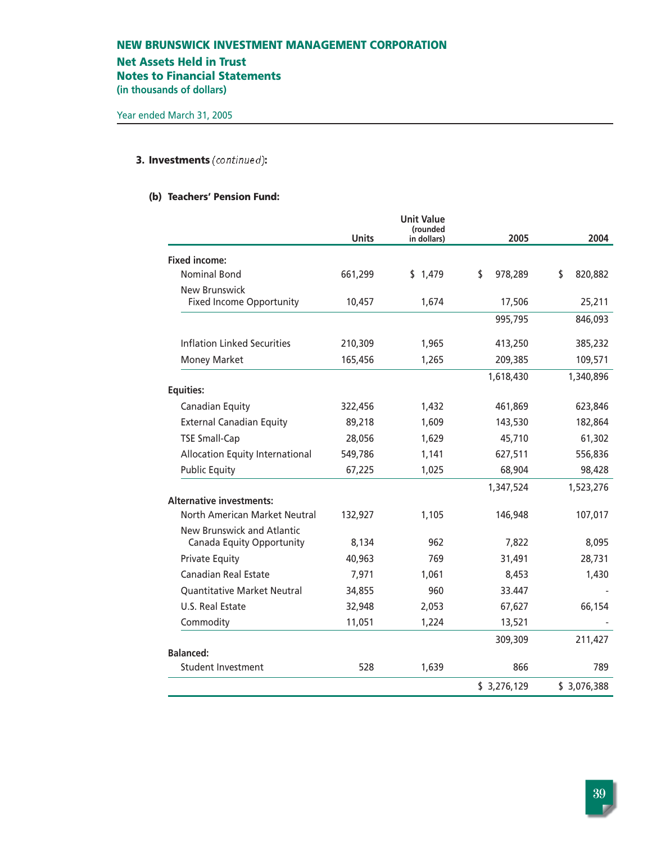# **Net Assets Held in Trust**

**Notes to Financial Statements**

**(in thousands of dollars)**

# **3. Investments** (continued)**:**

## **(b) Teachers' Pension Fund:**

|                                        |              | <b>Unit Value</b><br>(rounded |               |               |
|----------------------------------------|--------------|-------------------------------|---------------|---------------|
|                                        | <b>Units</b> | in dollars)                   | 2005          | 2004          |
| <b>Fixed income:</b>                   |              |                               |               |               |
| <b>Nominal Bond</b>                    | 661,299      | \$1,479                       | \$<br>978,289 | \$<br>820,882 |
| New Brunswick                          |              |                               |               |               |
| <b>Fixed Income Opportunity</b>        | 10,457       | 1,674                         | 17,506        | 25,211        |
|                                        |              |                               | 995,795       | 846,093       |
| Inflation Linked Securities            | 210,309      | 1,965                         | 413,250       | 385,232       |
| <b>Money Market</b>                    | 165,456      | 1,265                         | 209,385       | 109,571       |
|                                        |              |                               | 1,618,430     | 1,340,896     |
| <b>Equities:</b>                       |              |                               |               |               |
| Canadian Equity                        | 322,456      | 1,432                         | 461,869       | 623,846       |
| <b>External Canadian Equity</b>        | 89,218       | 1,609                         | 143,530       | 182,864       |
| <b>TSE Small-Cap</b>                   | 28,056       | 1,629                         | 45,710        | 61,302        |
| <b>Allocation Equity International</b> | 549,786      | 1,141                         | 627,511       | 556,836       |
| <b>Public Equity</b>                   | 67,225       | 1,025                         | 68,904        | 98,428        |
|                                        |              |                               | 1,347,524     | 1,523,276     |
| <b>Alternative investments:</b>        |              |                               |               |               |
| North American Market Neutral          | 132,927      | 1,105                         | 146,948       | 107,017       |
| New Brunswick and Atlantic             |              |                               |               |               |
| Canada Equity Opportunity              | 8,134        | 962                           | 7,822         | 8,095         |
| <b>Private Equity</b>                  | 40,963       | 769                           | 31,491        | 28,731        |
| <b>Canadian Real Estate</b>            | 7,971        | 1,061                         | 8,453         | 1,430         |
| <b>Quantitative Market Neutral</b>     | 34,855       | 960                           | 33.447        |               |
| U.S. Real Estate                       | 32,948       | 2,053                         | 67,627        | 66,154        |
| Commodity                              | 11,051       | 1,224                         | 13,521        |               |
|                                        |              |                               | 309,309       | 211,427       |
| <b>Balanced:</b><br>Student Investment | 528          | 1,639                         | 866           | 789           |
|                                        |              |                               |               |               |
|                                        |              |                               | \$3,276,129   | \$3,076,388   |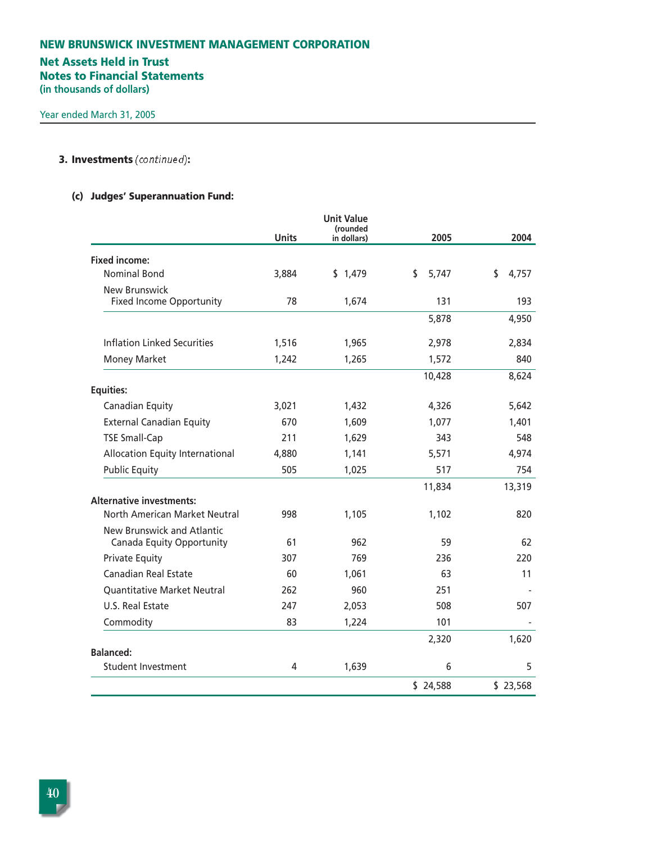# **NEW BRUNSWICK INVESTMENT MANAGEMENT CORPORATION Net Assets Held in Trust Notes to Financial Statements (in thousands of dollars)**

## **3. Investments** (continued)**:**

# **(c) Judges' Superannuation Fund:**

|                                                         |              | <b>Unit Value</b><br>(rounded |             |             |
|---------------------------------------------------------|--------------|-------------------------------|-------------|-------------|
|                                                         | <b>Units</b> | in dollars)                   | 2005        | 2004        |
| <b>Fixed income:</b>                                    |              |                               |             |             |
| <b>Nominal Bond</b>                                     | 3,884        | \$1,479                       | \$<br>5,747 | \$<br>4,757 |
| <b>New Brunswick</b>                                    |              |                               |             |             |
| <b>Fixed Income Opportunity</b>                         | 78           | 1,674                         | 131         | 193         |
|                                                         |              |                               | 5,878       | 4,950       |
| <b>Inflation Linked Securities</b>                      | 1,516        | 1,965                         | 2,978       | 2,834       |
| <b>Money Market</b>                                     | 1,242        | 1,265                         | 1,572       | 840         |
|                                                         |              |                               | 10,428      | 8,624       |
| <b>Equities:</b>                                        |              |                               |             |             |
| Canadian Equity                                         | 3,021        | 1,432                         | 4,326       | 5,642       |
| <b>External Canadian Equity</b>                         | 670          | 1,609                         | 1,077       | 1,401       |
| <b>TSE Small-Cap</b>                                    | 211          | 1,629                         | 343         | 548         |
| <b>Allocation Equity International</b>                  | 4,880        | 1,141                         | 5,571       | 4,974       |
| <b>Public Equity</b>                                    | 505          | 1,025                         | 517         | 754         |
|                                                         |              |                               | 11,834      | 13,319      |
| <b>Alternative investments:</b>                         |              |                               |             |             |
| North American Market Neutral                           | 998          | 1,105                         | 1,102       | 820         |
| New Brunswick and Atlantic<br>Canada Equity Opportunity | 61           | 962                           | 59          | 62          |
| <b>Private Equity</b>                                   | 307          | 769                           | 236         | 220         |
| <b>Canadian Real Estate</b>                             | 60           | 1,061                         | 63          | 11          |
| <b>Quantitative Market Neutral</b>                      | 262          | 960                           | 251         |             |
| U.S. Real Estate                                        | 247          | 2,053                         | 508         | 507         |
| Commodity                                               | 83           | 1,224                         | 101         |             |
|                                                         |              |                               | 2,320       | 1,620       |
| <b>Balanced:</b>                                        |              |                               |             |             |
| <b>Student Investment</b>                               | 4            | 1,639                         | 6           | 5           |
|                                                         |              |                               | \$24,588    | \$23,568    |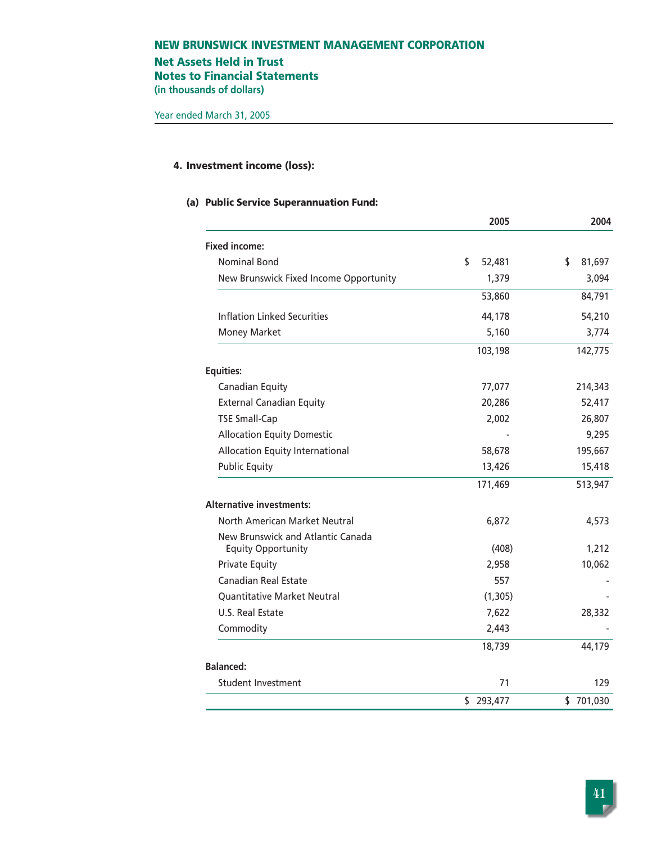# **Net Assets Held in Trust Notes to Financial Statements**

**(in thousands of dollars)**

# **4. Investment income (loss):**

### **(a) Public Service Superannuation Fund:**

|                                                                | 2005         | 2004         |
|----------------------------------------------------------------|--------------|--------------|
| <b>Fixed income:</b>                                           |              |              |
| <b>Nominal Bond</b>                                            | \$<br>52,481 | \$<br>81,697 |
| New Brunswick Fixed Income Opportunity                         | 1,379        | 3,094        |
|                                                                | 53,860       | 84,791       |
| <b>Inflation Linked Securities</b>                             | 44,178       | 54,210       |
| Money Market                                                   | 5,160        | 3,774        |
|                                                                | 103,198      | 142,775      |
| <b>Equities:</b>                                               |              |              |
| Canadian Equity                                                | 77,077       | 214,343      |
| <b>External Canadian Equity</b>                                | 20,286       | 52,417       |
| <b>TSE Small-Cap</b>                                           | 2,002        | 26,807       |
| <b>Allocation Equity Domestic</b>                              |              | 9,295        |
| Allocation Equity International                                | 58,678       | 195,667      |
| <b>Public Equity</b>                                           | 13,426       | 15,418       |
|                                                                | 171,469      | 513,947      |
| <b>Alternative investments:</b>                                |              |              |
| North American Market Neutral                                  | 6,872        | 4,573        |
| New Brunswick and Atlantic Canada<br><b>Equity Opportunity</b> | (408)        | 1,212        |
| <b>Private Equity</b>                                          | 2,958        | 10,062       |
| <b>Canadian Real Estate</b>                                    | 557          |              |
| <b>Quantitative Market Neutral</b>                             | (1, 305)     |              |
| U.S. Real Estate                                               | 7,622        | 28,332       |
| Commodity                                                      | 2,443        |              |
|                                                                | 18,739       | 44,179       |
| <b>Balanced:</b>                                               |              |              |
| <b>Student Investment</b>                                      | 71           | 129          |
|                                                                | \$293,477    | \$701,030    |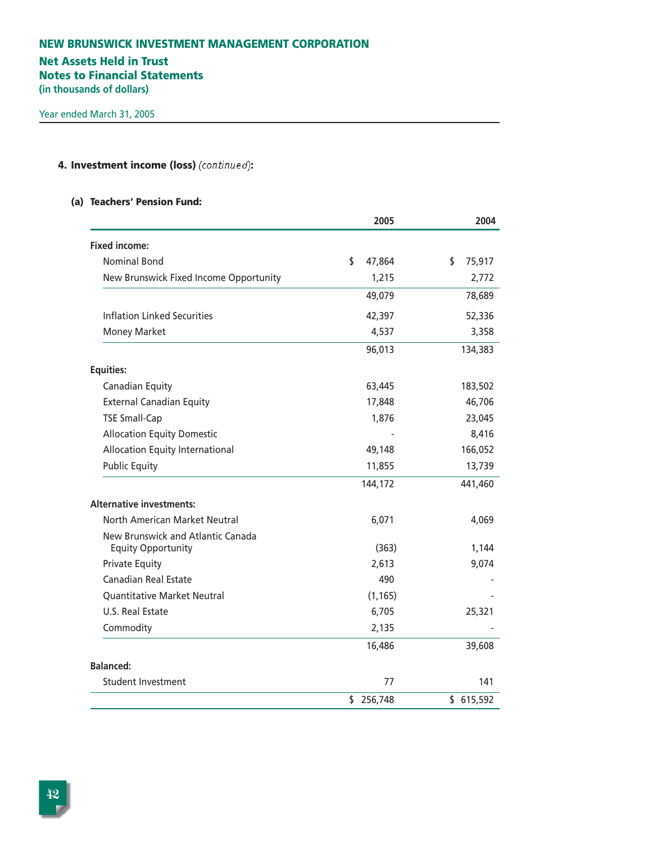# **Net Assets Held in Trust**

**Notes to Financial Statements**

**(in thousands of dollars)**

# **4. Investment income (loss)** (continued)**:**

### **(a) Teachers' Pension Fund:**

|                                                                | 2005          | 2004         |
|----------------------------------------------------------------|---------------|--------------|
| <b>Fixed income:</b>                                           |               |              |
| <b>Nominal Bond</b>                                            | \$<br>47,864  | \$<br>75,917 |
| New Brunswick Fixed Income Opportunity                         | 1,215         | 2,772        |
|                                                                | 49,079        | 78,689       |
| <b>Inflation Linked Securities</b>                             | 42,397        | 52,336       |
| <b>Money Market</b>                                            | 4,537         | 3,358        |
|                                                                | 96,013        | 134,383      |
| <b>Equities:</b>                                               |               |              |
| Canadian Equity                                                | 63,445        | 183,502      |
| <b>External Canadian Equity</b>                                | 17,848        | 46,706       |
| <b>TSE Small-Cap</b>                                           | 1,876         | 23,045       |
| <b>Allocation Equity Domestic</b>                              |               | 8,416        |
| <b>Allocation Equity International</b>                         | 49,148        | 166,052      |
| <b>Public Equity</b>                                           | 11,855        | 13,739       |
|                                                                | 144,172       | 441,460      |
| <b>Alternative investments:</b>                                |               |              |
| North American Market Neutral                                  | 6,071         | 4,069        |
| New Brunswick and Atlantic Canada<br><b>Equity Opportunity</b> | (363)         | 1,144        |
| <b>Private Equity</b>                                          | 2,613         | 9,074        |
| Canadian Real Estate                                           | 490           |              |
| <b>Quantitative Market Neutral</b>                             | (1, 165)      |              |
| U.S. Real Estate                                               | 6,705         | 25,321       |
| Commodity                                                      | 2,135         |              |
|                                                                | 16,486        | 39,608       |
| Balanced:                                                      |               |              |
| Student Investment                                             | 77            | 141          |
|                                                                | 256,748<br>\$ | \$615,592    |